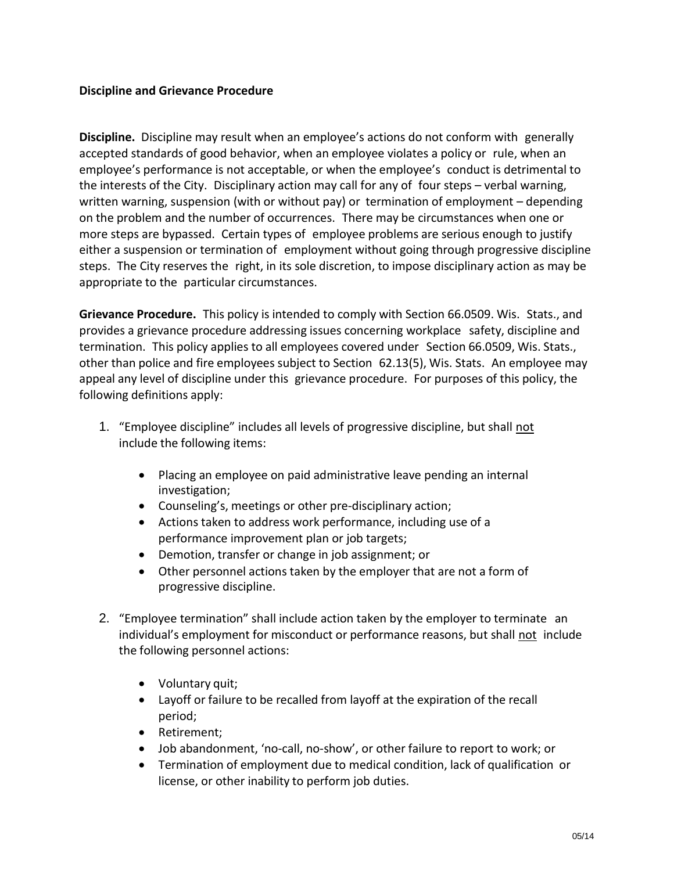## **Discipline and Grievance Procedure**

**Discipline.** Discipline may result when an employee's actions do not conform with generally accepted standards of good behavior, when an employee violates a policy or rule, when an employee's performance is not acceptable, or when the employee's conduct is detrimental to the interests of the City. Disciplinary action may call for any of four steps – verbal warning, written warning, suspension (with or without pay) or termination of employment – depending on the problem and the number of occurrences. There may be circumstances when one or more steps are bypassed. Certain types of employee problems are serious enough to justify either a suspension or termination of employment without going through progressive discipline steps. The City reserves the right, in its sole discretion, to impose disciplinary action as may be appropriate to the particular circumstances.

**Grievance Procedure.** This policy is intended to comply with Section 66.0509. Wis. Stats., and provides a grievance procedure addressing issues concerning workplace safety, discipline and termination. This policy applies to all employees covered under Section 66.0509, Wis. Stats., other than police and fire employees subject to Section 62.13(5), Wis. Stats. An employee may appeal any level of discipline under this grievance procedure. For purposes of this policy, the following definitions apply:

- 1. "Employee discipline" includes all levels of progressive discipline, but shall not include the following items:
	- Placing an employee on paid administrative leave pending an internal investigation;
	- Counseling's, meetings or other pre-disciplinary action;
	- Actions taken to address work performance, including use of a performance improvement plan or job targets;
	- Demotion, transfer or change in job assignment; or
	- Other personnel actions taken by the employer that are not a form of progressive discipline.
- 2. "Employee termination" shall include action taken by the employer to terminate an individual's employment for misconduct or performance reasons, but shall not include the following personnel actions:
	- Voluntary quit;
	- Layoff or failure to be recalled from layoff at the expiration of the recall period;
	- Retirement;
	- Job abandonment, 'no-call, no-show', or other failure to report to work; or
	- Termination of employment due to medical condition, lack of qualification or license, or other inability to perform job duties.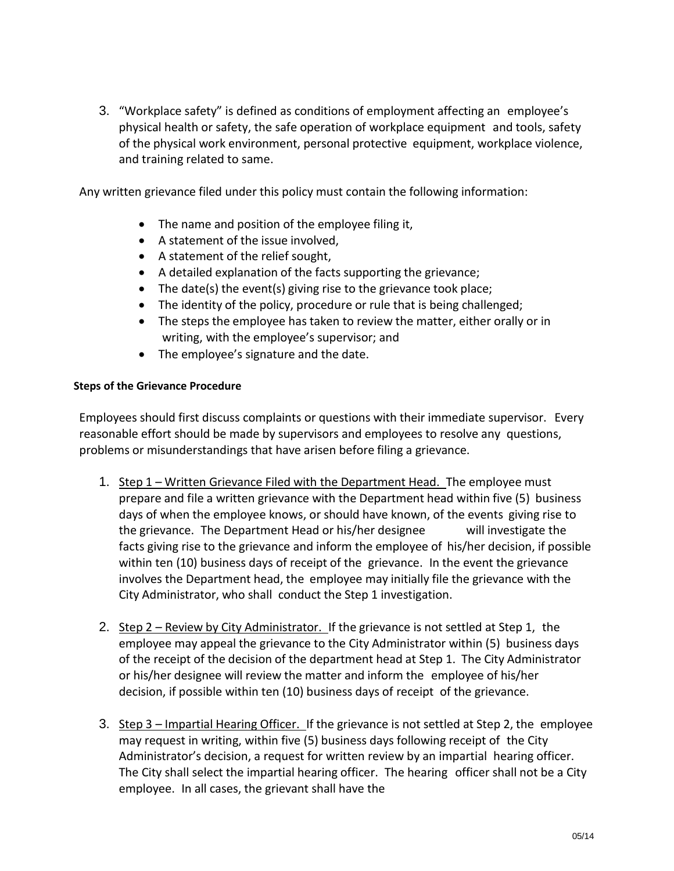3. "Workplace safety" is defined as conditions of employment affecting an employee's physical health or safety, the safe operation of workplace equipment and tools, safety of the physical work environment, personal protective equipment, workplace violence, and training related to same.

Any written grievance filed under this policy must contain the following information:

- The name and position of the employee filing it,
- A statement of the issue involved,
- A statement of the relief sought,
- A detailed explanation of the facts supporting the grievance;
- The date(s) the event(s) giving rise to the grievance took place;
- The identity of the policy, procedure or rule that is being challenged;
- The steps the employee has taken to review the matter, either orally or in writing, with the employee's supervisor; and
- The employee's signature and the date.

## **Steps of the Grievance Procedure**

Employees should first discuss complaints or questions with their immediate supervisor. Every reasonable effort should be made by supervisors and employees to resolve any questions, problems or misunderstandings that have arisen before filing a grievance.

- 1. Step 1 Written Grievance Filed with the Department Head. The employee must prepare and file a written grievance with the Department head within five (5) business days of when the employee knows, or should have known, of the events giving rise to the grievance. The Department Head or his/her designee will investigate the facts giving rise to the grievance and inform the employee of his/her decision, if possible within ten (10) business days of receipt of the grievance. In the event the grievance involves the Department head, the employee may initially file the grievance with the City Administrator, who shall conduct the Step 1 investigation.
- 2. Step 2 Review by City Administrator. If the grievance is not settled at Step 1, the employee may appeal the grievance to the City Administrator within (5) business days of the receipt of the decision of the department head at Step 1. The City Administrator or his/her designee will review the matter and inform the employee of his/her decision, if possible within ten (10) business days of receipt of the grievance.
- 3. Step 3 Impartial Hearing Officer. If the grievance is not settled at Step 2, the employee may request in writing, within five (5) business days following receipt of the City Administrator's decision, a request for written review by an impartial hearing officer. The City shall select the impartial hearing officer. The hearing officer shall not be a City employee. In all cases, the grievant shall have the